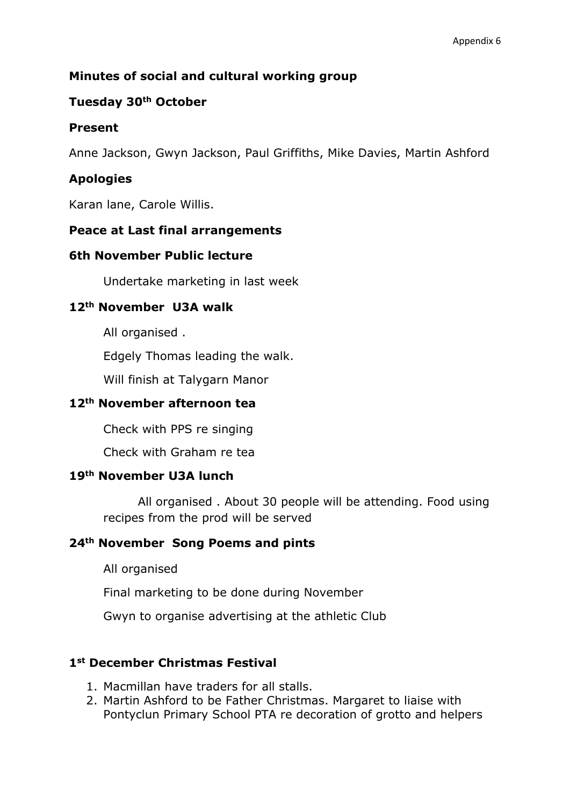## **Minutes of social and cultural working group**

## **Tuesday 30th October**

## **Present**

Anne Jackson, Gwyn Jackson, Paul Griffiths, Mike Davies, Martin Ashford

# **Apologies**

Karan lane, Carole Willis.

## **Peace at Last final arrangements**

#### **6th November Public lecture**

Undertake marketing in last week

## **12th November U3A walk**

All organised .

Edgely Thomas leading the walk.

Will finish at Talygarn Manor

## **12th November afternoon tea**

Check with PPS re singing

Check with Graham re tea

## **19th November U3A lunch**

All organised . About 30 people will be attending. Food using recipes from the prod will be served

## **24th November Song Poems and pints**

All organised

Final marketing to be done during November

Gwyn to organise advertising at the athletic Club

## **1st December Christmas Festival**

- 1. Macmillan have traders for all stalls.
- 2. Martin Ashford to be Father Christmas. Margaret to liaise with Pontyclun Primary School PTA re decoration of grotto and helpers